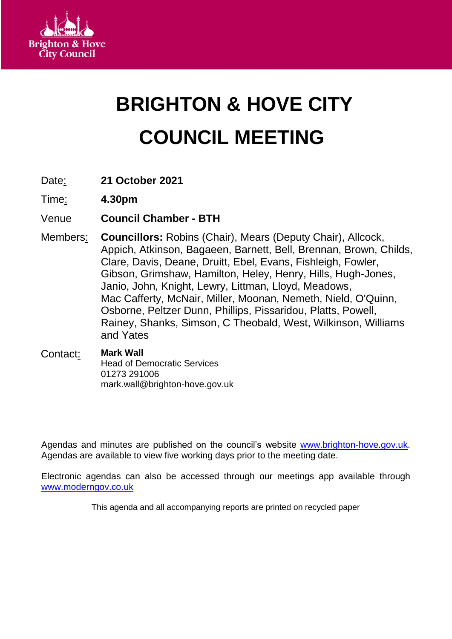

# **BRIGHTON & HOVE CITY COUNCIL MEETING**

- Date: **21 October 2021**
- Time: **4.30pm**
- Venue **Council Chamber - BTH**
- Members: **Councillors:** Robins (Chair), Mears (Deputy Chair), Allcock, Appich, Atkinson, Bagaeen, Barnett, Bell, Brennan, Brown, Childs, Clare, Davis, Deane, Druitt, Ebel, Evans, Fishleigh, Fowler, Gibson, Grimshaw, Hamilton, Heley, Henry, Hills, Hugh-Jones, Janio, John, Knight, Lewry, Littman, Lloyd, Meadows, Mac Cafferty, McNair, Miller, Moonan, Nemeth, Nield, O'Quinn, Osborne, Peltzer Dunn, Phillips, Pissaridou, Platts, Powell, Rainey, Shanks, Simson, C Theobald, West, Wilkinson, Williams and Yates
- Contact: **Mark Wall** Head of Democratic Services 01273 291006 mark.wall@brighton-hove.gov.uk

Agendas and minutes are published on the council's website [www.brighton-hove.gov.uk.](http://www.brighton-hove.gov.uk/) Agendas are available to view five working days prior to the meeting date.

Electronic agendas can also be accessed through our meetings app available through [www.moderngov.co.uk](http://www.moderngov.co.uk/our-solutions/tablet-app-paperless-meetings)

This agenda and all accompanying reports are printed on recycled paper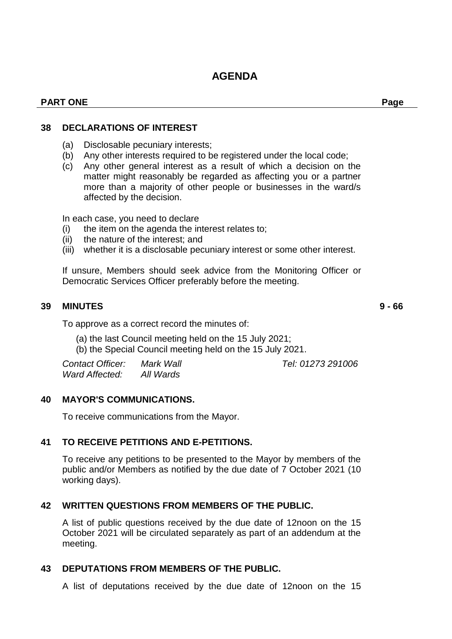# **AGENDA**

#### **PART ONE Page**

#### **38 DECLARATIONS OF INTEREST**

- (a) Disclosable pecuniary interests;
- (b) Any other interests required to be registered under the local code;
- (c) Any other general interest as a result of which a decision on the matter might reasonably be regarded as affecting you or a partner more than a majority of other people or businesses in the ward/s affected by the decision.

In each case, you need to declare

- (i) the item on the agenda the interest relates to;
- (ii) the nature of the interest; and
- (iii) whether it is a disclosable pecuniary interest or some other interest.

If unsure, Members should seek advice from the Monitoring Officer or Democratic Services Officer preferably before the meeting.

#### **39 MINUTES 9 - 66**

To approve as a correct record the minutes of:

- (a) the last Council meeting held on the 15 July 2021;
- (b) the Special Council meeting held on the 15 July 2021.

| <b>Contact Officer:</b> | Mark Wall |  |
|-------------------------|-----------|--|
| Ward Affected:          | All Wards |  |

## **40 MAYOR'S COMMUNICATIONS.**

To receive communications from the Mayor.

## **41 TO RECEIVE PETITIONS AND E-PETITIONS.**

To receive any petitions to be presented to the Mayor by members of the public and/or Members as notified by the due date of 7 October 2021 (10 working days).

## **42 WRITTEN QUESTIONS FROM MEMBERS OF THE PUBLIC.**

A list of public questions received by the due date of 12noon on the 15 October 2021 will be circulated separately as part of an addendum at the meeting.

## **43 DEPUTATIONS FROM MEMBERS OF THE PUBLIC.**

A list of deputations received by the due date of 12noon on the 15

*Contact Officer: Mark Wall Tel: 01273 291006*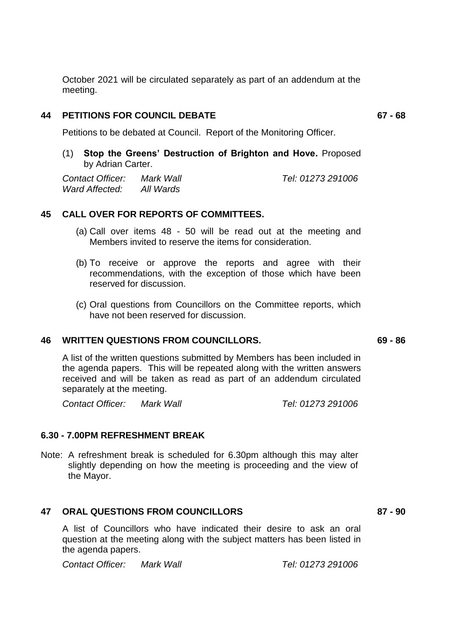October 2021 will be circulated separately as part of an addendum at the meeting.

#### **44 PETITIONS FOR COUNCIL DEBATE 67 - 68**

Petitions to be debated at Council. Report of the Monitoring Officer.

(1) **Stop the Greens' Destruction of Brighton and Hove.** Proposed by Adrian Carter.

*Contact Officer: Mark Wall Tel: 01273 291006 Ward Affected: All Wards*

#### **45 CALL OVER FOR REPORTS OF COMMITTEES.**

- (a) Call over items 48 50 will be read out at the meeting and Members invited to reserve the items for consideration.
- (b) To receive or approve the reports and agree with their recommendations, with the exception of those which have been reserved for discussion.
- (c) Oral questions from Councillors on the Committee reports, which have not been reserved for discussion.

#### **46 WRITTEN QUESTIONS FROM COUNCILLORS. 69 - 86**

A list of the written questions submitted by Members has been included in the agenda papers. This will be repeated along with the written answers received and will be taken as read as part of an addendum circulated separately at the meeting.

*Contact Officer: Mark Wall Tel: 01273 291006*

#### **6.30 - 7.00PM REFRESHMENT BREAK**

Note: A refreshment break is scheduled for 6.30pm although this may alter slightly depending on how the meeting is proceeding and the view of the Mayor.

#### **47 ORAL QUESTIONS FROM COUNCILLORS 87 - 90**

A list of Councillors who have indicated their desire to ask an oral question at the meeting along with the subject matters has been listed in the agenda papers.

*Contact Officer: Mark Wall Tel: 01273 291006*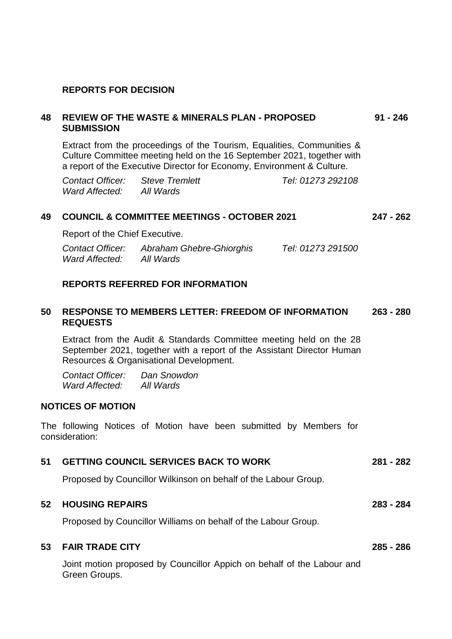#### **REPORTS FOR DECISION**

#### **48 REVIEW OF THE WASTE & MINERALS PLAN - PROPOSED SUBMISSION 91 - 246**

Extract from the proceedings of the Tourism, Equalities, Communities & Culture Committee meeting held on the 16 September 2021, together with a report of the Executive Director for Economy, Environment & Culture.

| Contact Officer: Steve Tremlett |           | Tel: 01273 292108 |
|---------------------------------|-----------|-------------------|
| Ward Affected:                  | All Wards |                   |

#### **49 COUNCIL & COMMITTEE MEETINGS - OCTOBER 2021 247 - 262**

Report of the Chief Executive.

| <b>Contact Officer:</b> | Abraham Ghebre-Ghiorghis | Tel: 01273 291500 |
|-------------------------|--------------------------|-------------------|
| Ward Affected:          | All Wards                |                   |

#### **REPORTS REFERRED FOR INFORMATION**

#### **50 RESPONSE TO MEMBERS LETTER: FREEDOM OF INFORMATION REQUESTS 263 - 280**

Extract from the Audit & Standards Committee meeting held on the 28 September 2021, together with a report of the Assistant Director Human Resources & Organisational Development.

*Contact Officer: Dan Snowdon Ward Affected: All Wards*

#### **NOTICES OF MOTION**

The following Notices of Motion have been submitted by Members for consideration:

| 51 GETTING COUNCIL SERVICES BACK TO WORK                        | 281 - 282 |
|-----------------------------------------------------------------|-----------|
| Proposed by Councillor Wilkinson on behalf of the Labour Group. |           |

#### **52 HOUSING REPAIRS 283 - 284**

Proposed by Councillor Williams on behalf of the Labour Group.

#### **53 FAIR TRADE CITY 285 - 286**

Joint motion proposed by Councillor Appich on behalf of the Labour and Green Groups.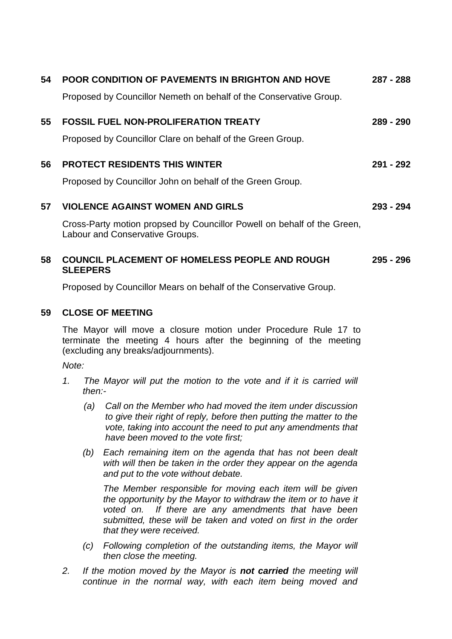| 54 | <b>POOR CONDITION OF PAVEMENTS IN BRIGHTON AND HOVE</b>                                                    | 287 - 288 |
|----|------------------------------------------------------------------------------------------------------------|-----------|
|    | Proposed by Councillor Nemeth on behalf of the Conservative Group.                                         |           |
| 55 | <b>FOSSIL FUEL NON-PROLIFERATION TREATY</b>                                                                | 289 - 290 |
|    | Proposed by Councillor Clare on behalf of the Green Group.                                                 |           |
| 56 | <b>PROTECT RESIDENTS THIS WINTER</b>                                                                       | 291 - 292 |
|    | Proposed by Councillor John on behalf of the Green Group.                                                  |           |
| 57 | <b>VIOLENCE AGAINST WOMEN AND GIRLS</b>                                                                    | 293 - 294 |
|    | Cross-Party motion propsed by Councillor Powell on behalf of the Green,<br>Labour and Conservative Groups. |           |
| 58 | <b>COUNCIL PLACEMENT OF HOMELESS PEOPLE AND ROUGH</b><br><b>SLEEPERS</b>                                   | 295 - 296 |

Proposed by Councillor Mears on behalf of the Conservative Group.

#### **59 CLOSE OF MEETING**

The Mayor will move a closure motion under Procedure Rule 17 to terminate the meeting 4 hours after the beginning of the meeting (excluding any breaks/adjournments).

*Note:*

- *1. The Mayor will put the motion to the vote and if it is carried will then:-*
	- *(a) Call on the Member who had moved the item under discussion to give their right of reply, before then putting the matter to the vote, taking into account the need to put any amendments that have been moved to the vote first;*
	- *(b) Each remaining item on the agenda that has not been dealt with will then be taken in the order they appear on the agenda and put to the vote without debate.*

*The Member responsible for moving each item will be given the opportunity by the Mayor to withdraw the item or to have it voted on. If there are any amendments that have been submitted, these will be taken and voted on first in the order that they were received.*

- *(c) Following completion of the outstanding items, the Mayor will then close the meeting.*
- *2. If the motion moved by the Mayor is not carried the meeting will continue in the normal way, with each item being moved and*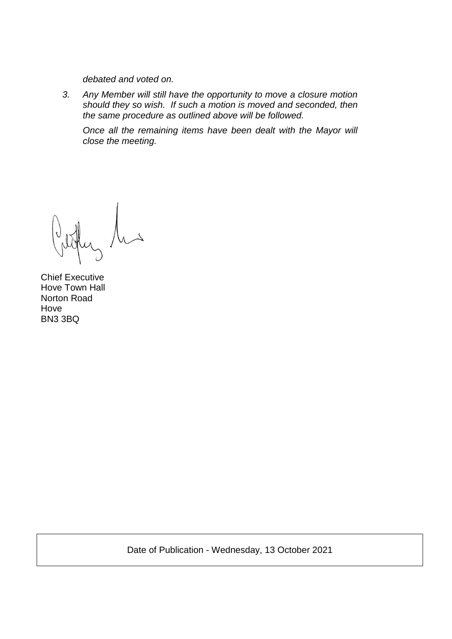*debated and voted on.*

*3. Any Member will still have the opportunity to move a closure motion should they so wish. If such a motion is moved and seconded, then the same procedure as outlined above will be followed.*

*Once all the remaining items have been dealt with the Mayor will close the meeting.*

Chief Executive Hove Town Hall Norton Road Hove BN3 3BQ

Date of Publication - Wednesday, 13 October 2021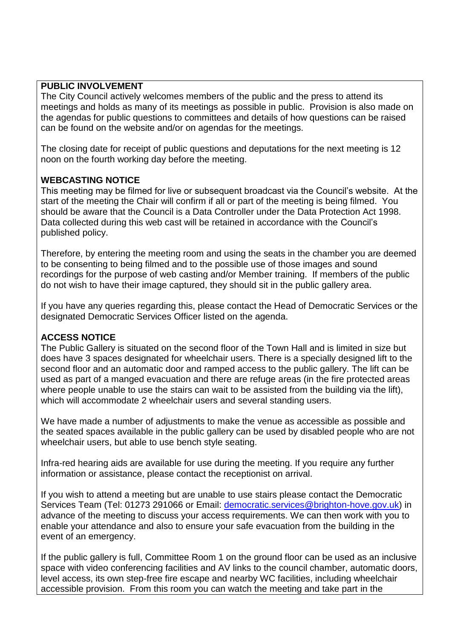#### **PUBLIC INVOLVEMENT**

The City Council actively welcomes members of the public and the press to attend its meetings and holds as many of its meetings as possible in public. Provision is also made on the agendas for public questions to committees and details of how questions can be raised can be found on the website and/or on agendas for the meetings.

The closing date for receipt of public questions and deputations for the next meeting is 12 noon on the fourth working day before the meeting.

#### **WEBCASTING NOTICE**

This meeting may be filmed for live or subsequent broadcast via the Council's website. At the start of the meeting the Chair will confirm if all or part of the meeting is being filmed. You should be aware that the Council is a Data Controller under the Data Protection Act 1998. Data collected during this web cast will be retained in accordance with the Council's published policy.

Therefore, by entering the meeting room and using the seats in the chamber you are deemed to be consenting to being filmed and to the possible use of those images and sound recordings for the purpose of web casting and/or Member training. If members of the public do not wish to have their image captured, they should sit in the public gallery area.

If you have any queries regarding this, please contact the Head of Democratic Services or the designated Democratic Services Officer listed on the agenda.

## **ACCESS NOTICE**

The Public Gallery is situated on the second floor of the Town Hall and is limited in size but does have 3 spaces designated for wheelchair users. There is a specially designed lift to the second floor and an automatic door and ramped access to the public gallery. The lift can be used as part of a manged evacuation and there are refuge areas (in the fire protected areas where people unable to use the stairs can wait to be assisted from the building via the lift), which will accommodate 2 wheelchair users and several standing users.

We have made a number of adjustments to make the venue as accessible as possible and the seated spaces available in the public gallery can be used by disabled people who are not wheelchair users, but able to use bench style seating.

Infra-red hearing aids are available for use during the meeting. If you require any further information or assistance, please contact the receptionist on arrival.

If you wish to attend a meeting but are unable to use stairs please contact the Democratic Services Team (Tel: 01273 291066 or Email: [democratic.services@brighton-hove.gov.uk\)](mailto:democratic.services@brighton-hove.gov.uk) in advance of the meeting to discuss your access requirements. We can then work with you to enable your attendance and also to ensure your safe evacuation from the building in the event of an emergency.

If the public gallery is full, Committee Room 1 on the ground floor can be used as an inclusive space with video conferencing facilities and AV links to the council chamber, automatic doors, level access, its own step-free fire escape and nearby WC facilities, including wheelchair accessible provision. From this room you can watch the meeting and take part in the